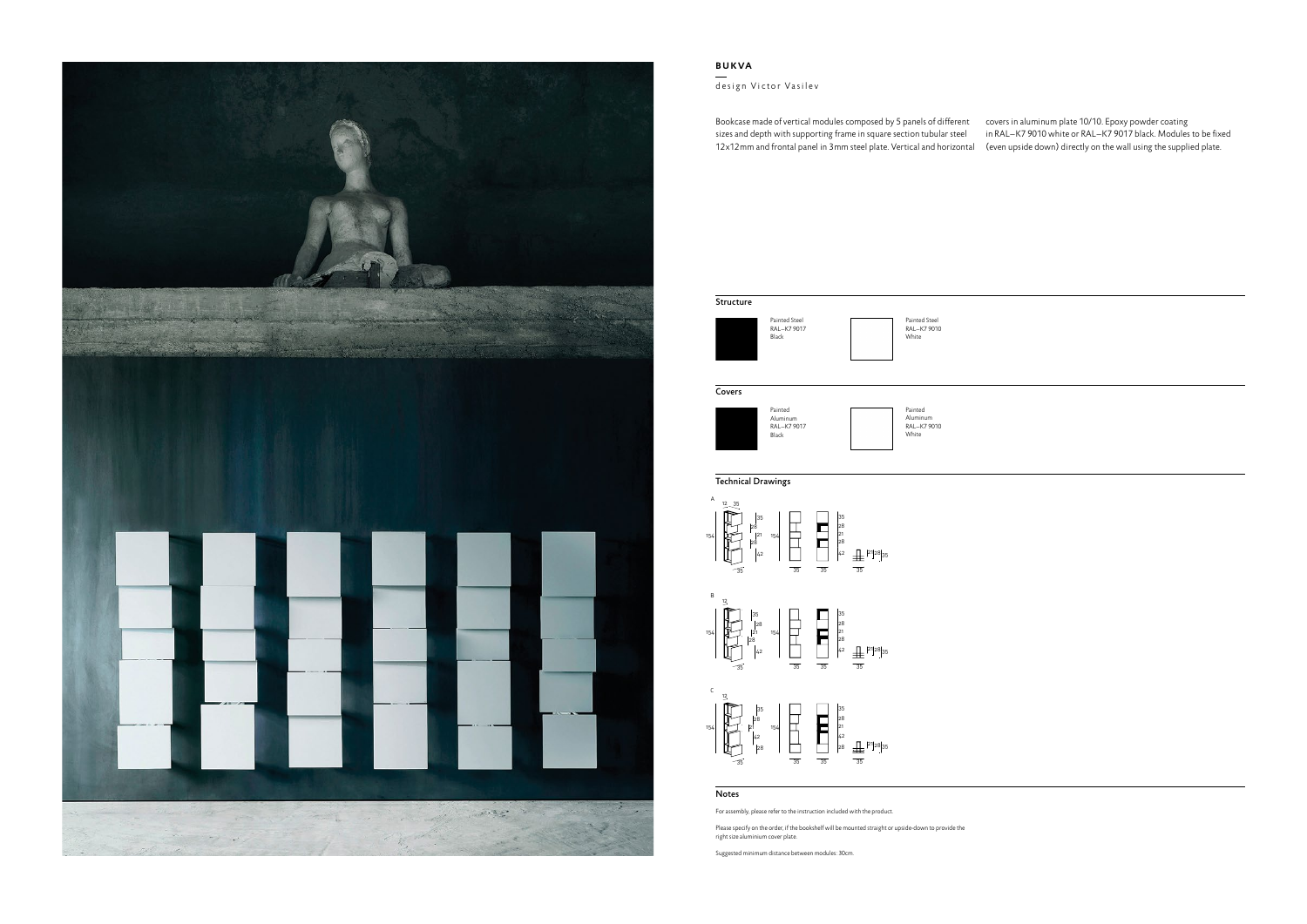

## **BUKVA**

design Victor Vasilev



## Technical Drawings

## Notes

For assembly, please refer to the instruction included with the product.

Bookcase made of vertical modules composed by 5 panels of different covers in aluminum plate 10/10. Epoxy powder coating sizes and depth with supporting frame in square section tubular steel 12x12mm and frontal panel in 3mm steel plate. Vertical and horizontal (even upside down) directly on the wall using the supplied plate. in RAL–K7 9010 white or RAL–K7 9017 black. Modules to be fixed

Please specify on the order, if the bookshelf will be mounted straight or upside-down to provide the right size aluminium cover plate.

Suggested minimum distance between modules: 30cm.